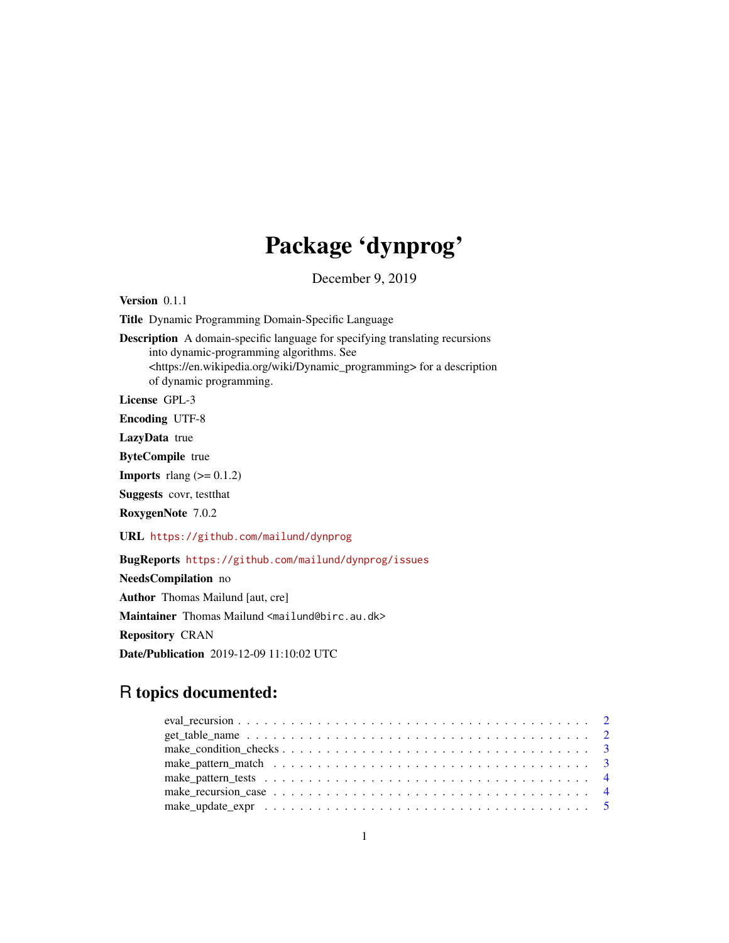# Package 'dynprog'

December 9, 2019

Version 0.1.1

Title Dynamic Programming Domain-Specific Language

Description A domain-specific language for specifying translating recursions into dynamic-programming algorithms. See <https://en.wikipedia.org/wiki/Dynamic\_programming> for a description of dynamic programming.

License GPL-3

Encoding UTF-8

LazyData true

ByteCompile true

**Imports** rlang  $(>= 0.1.2)$ 

Suggests covr, testthat

RoxygenNote 7.0.2

URL <https://github.com/mailund/dynprog>

BugReports <https://github.com/mailund/dynprog/issues>

NeedsCompilation no Author Thomas Mailund [aut, cre] Maintainer Thomas Mailund <mailund@birc.au.dk> Repository CRAN Date/Publication 2019-12-09 11:10:02 UTC

# R topics documented: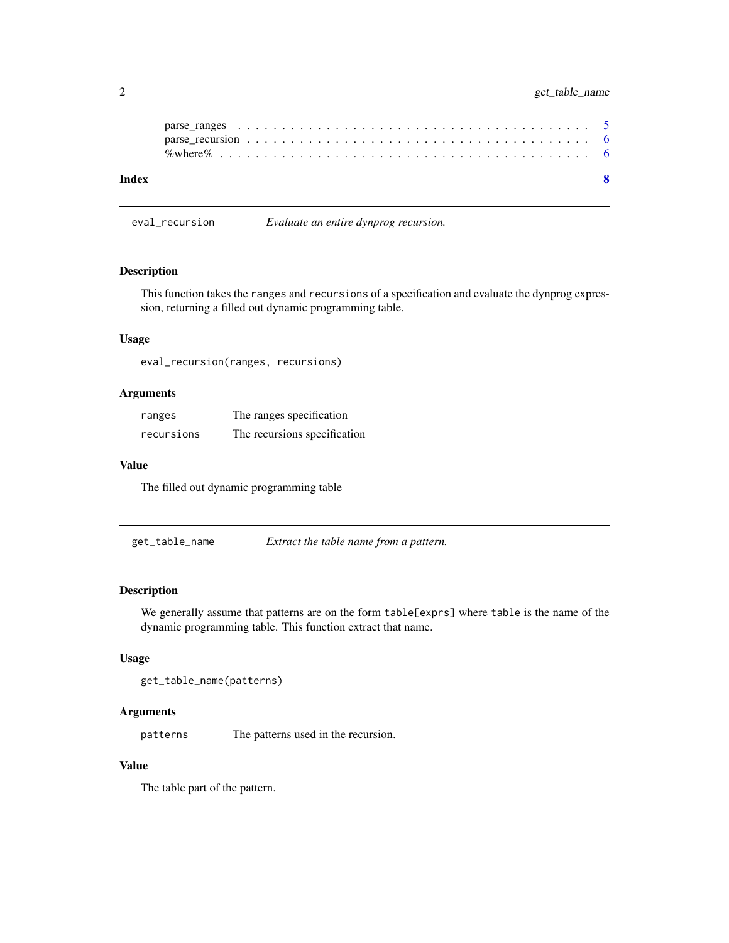# <span id="page-1-0"></span>2 get\_table\_name

| Index |  |  |  |  |  |  |  |  |  |  |  |  |  |  |  |  |  |  |  |
|-------|--|--|--|--|--|--|--|--|--|--|--|--|--|--|--|--|--|--|--|

eval\_recursion *Evaluate an entire dynprog recursion.*

#### Description

This function takes the ranges and recursions of a specification and evaluate the dynprog expression, returning a filled out dynamic programming table.

#### Usage

eval\_recursion(ranges, recursions)

# Arguments

| ranges     | The ranges specification     |
|------------|------------------------------|
| recursions | The recursions specification |

#### Value

The filled out dynamic programming table

get\_table\_name *Extract the table name from a pattern.*

#### Description

We generally assume that patterns are on the form table[exprs] where table is the name of the dynamic programming table. This function extract that name.

#### Usage

get\_table\_name(patterns)

# Arguments

patterns The patterns used in the recursion.

# Value

The table part of the pattern.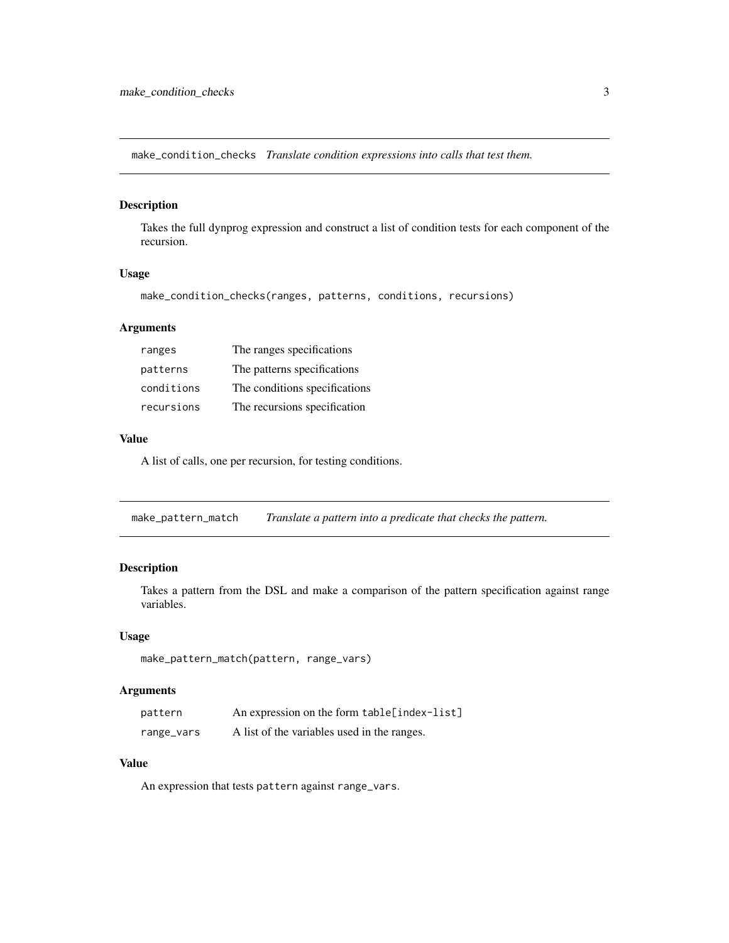<span id="page-2-0"></span>make\_condition\_checks *Translate condition expressions into calls that test them.*

#### Description

Takes the full dynprog expression and construct a list of condition tests for each component of the recursion.

# Usage

```
make_condition_checks(ranges, patterns, conditions, recursions)
```
# Arguments

| ranges     | The ranges specifications     |
|------------|-------------------------------|
| patterns   | The patterns specifications   |
| conditions | The conditions specifications |
| recursions | The recursions specification  |

# Value

A list of calls, one per recursion, for testing conditions.

<span id="page-2-1"></span>make\_pattern\_match *Translate a pattern into a predicate that checks the pattern.*

# Description

Takes a pattern from the DSL and make a comparison of the pattern specification against range variables.

#### Usage

```
make_pattern_match(pattern, range_vars)
```
# Arguments

| pattern    | An expression on the form table[index-list] |
|------------|---------------------------------------------|
| range_vars | A list of the variables used in the ranges. |

#### Value

An expression that tests pattern against range\_vars.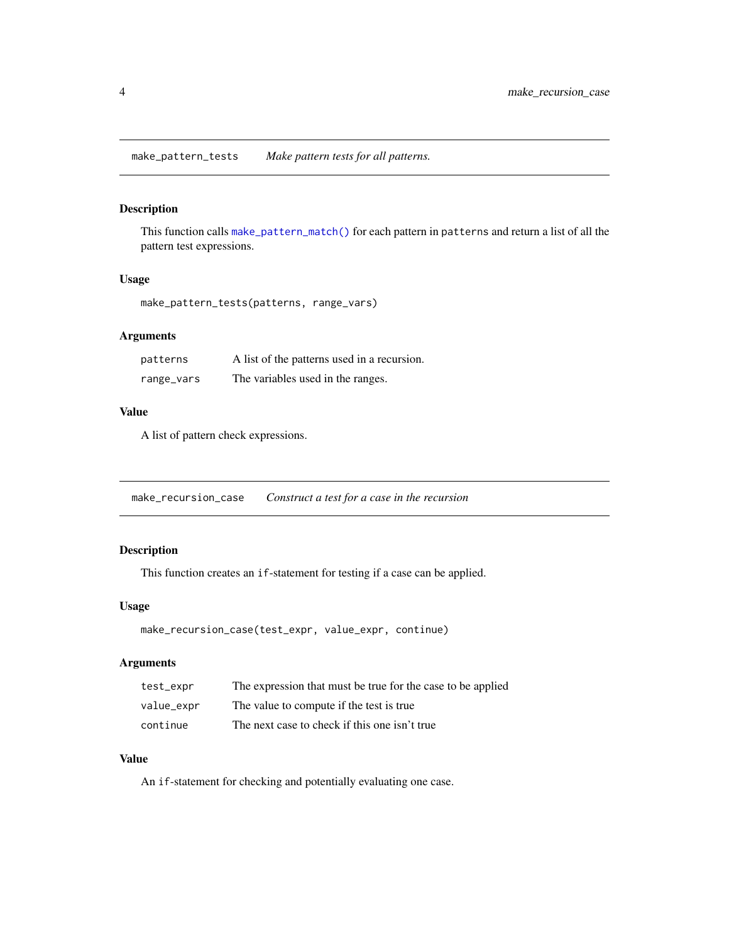<span id="page-3-0"></span>make\_pattern\_tests *Make pattern tests for all patterns.*

# Description

This function calls [make\\_pattern\\_match\(\)](#page-2-1) for each pattern in patterns and return a list of all the pattern test expressions.

#### Usage

make\_pattern\_tests(patterns, range\_vars)

# Arguments

| patterns   | A list of the patterns used in a recursion. |
|------------|---------------------------------------------|
| range_vars | The variables used in the ranges.           |

# Value

A list of pattern check expressions.

make\_recursion\_case *Construct a test for a case in the recursion*

# Description

This function creates an if-statement for testing if a case can be applied.

#### Usage

```
make_recursion_case(test_expr, value_expr, continue)
```
# Arguments

| test_expr  | The expression that must be true for the case to be applied |
|------------|-------------------------------------------------------------|
| value_expr | The value to compute if the test is true                    |
| continue   | The next case to check if this one isn't true               |

#### Value

An if-statement for checking and potentially evaluating one case.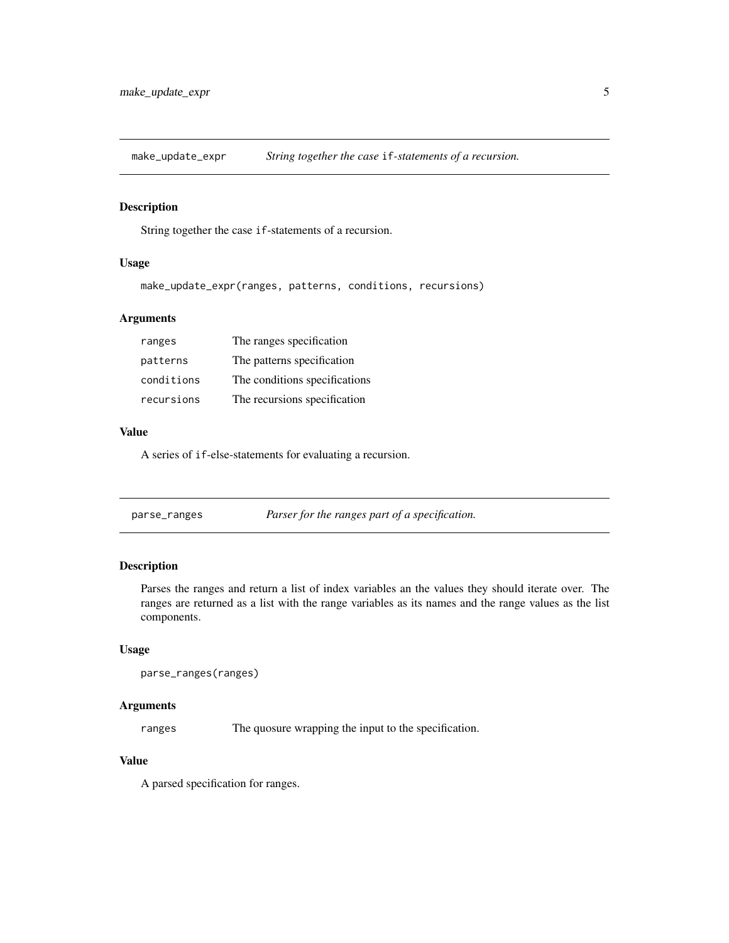<span id="page-4-0"></span>make\_update\_expr *String together the case* if*-statements of a recursion.*

#### Description

String together the case if-statements of a recursion.

# Usage

make\_update\_expr(ranges, patterns, conditions, recursions)

# Arguments

| ranges     | The ranges specification      |
|------------|-------------------------------|
| patterns   | The patterns specification    |
| conditions | The conditions specifications |
| recursions | The recursions specification  |

# Value

A series of if-else-statements for evaluating a recursion.

| parse_ranges | Parser for the ranges part of a specification. |
|--------------|------------------------------------------------|
|--------------|------------------------------------------------|

# Description

Parses the ranges and return a list of index variables an the values they should iterate over. The ranges are returned as a list with the range variables as its names and the range values as the list components.

#### Usage

```
parse_ranges(ranges)
```
# Arguments

ranges The quosure wrapping the input to the specification.

# Value

A parsed specification for ranges.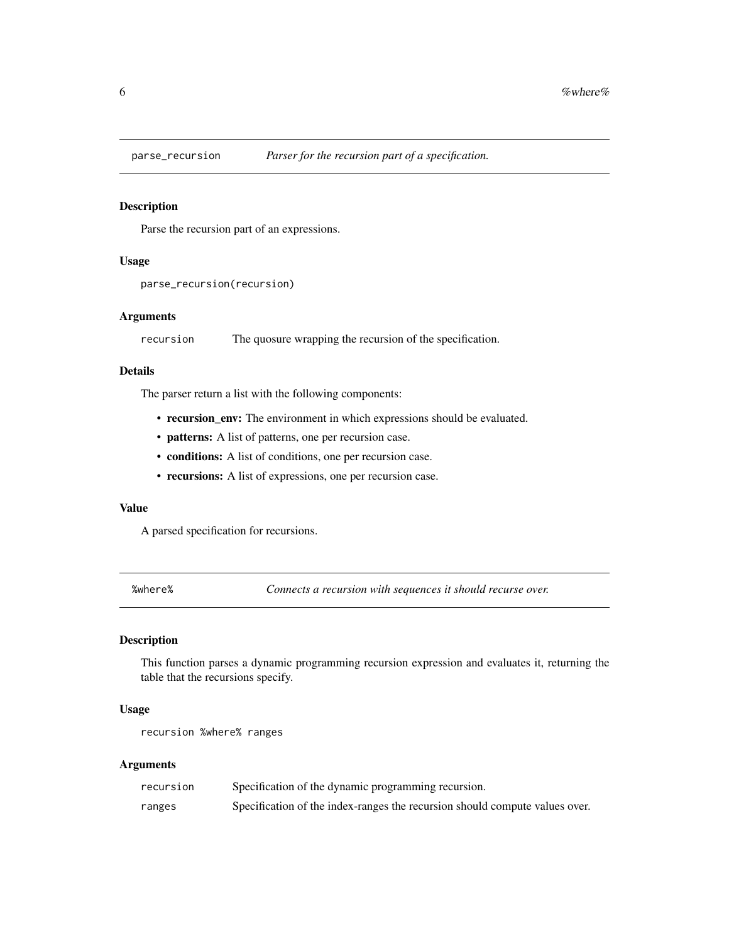<span id="page-5-0"></span>

#### Description

Parse the recursion part of an expressions.

#### Usage

```
parse_recursion(recursion)
```
#### Arguments

recursion The quosure wrapping the recursion of the specification.

#### Details

The parser return a list with the following components:

- recursion\_env: The environment in which expressions should be evaluated.
- patterns: A list of patterns, one per recursion case.
- conditions: A list of conditions, one per recursion case.
- recursions: A list of expressions, one per recursion case.

#### Value

A parsed specification for recursions.

%where% *Connects a recursion with sequences it should recurse over.*

#### Description

This function parses a dynamic programming recursion expression and evaluates it, returning the table that the recursions specify.

#### Usage

recursion %where% ranges

#### Arguments

| recursion | Specification of the dynamic programming recursion.                         |
|-----------|-----------------------------------------------------------------------------|
| ranges    | Specification of the index-ranges the recursion should compute values over. |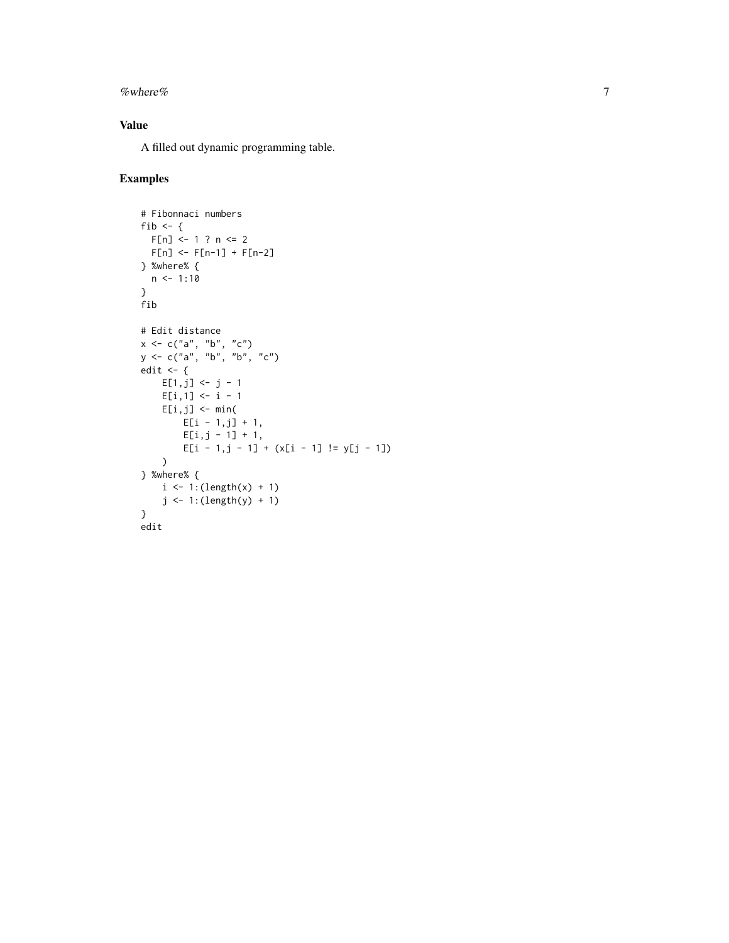#### % where %  $\sim$  7

# Value

A filled out dynamic programming table.

# Examples

```
# Fibonnaci numbers
fib <- \{F[n] <- 1 ? n <= 2
 F[n] <- F[n-1] + F[n-2]
} %where% {
 n < -1:10}
fib
# Edit distance
x < -c("a", "b", "c")y \leq -c("a", "b", "b", "c")edit \leq {
    E[1,j] \le j - 1E[i,1] <- i - 1
    E[i,j] <- min(
       E[i - 1,j] + 1,
        E[i,j - 1] + 1,E[i - 1,j - 1] + (x[i - 1] != y[j - 1])
    )} %where% {
   i \leq 1: (length(x) + 1)
    j <- 1:(length(y) + 1)
}
edit
```